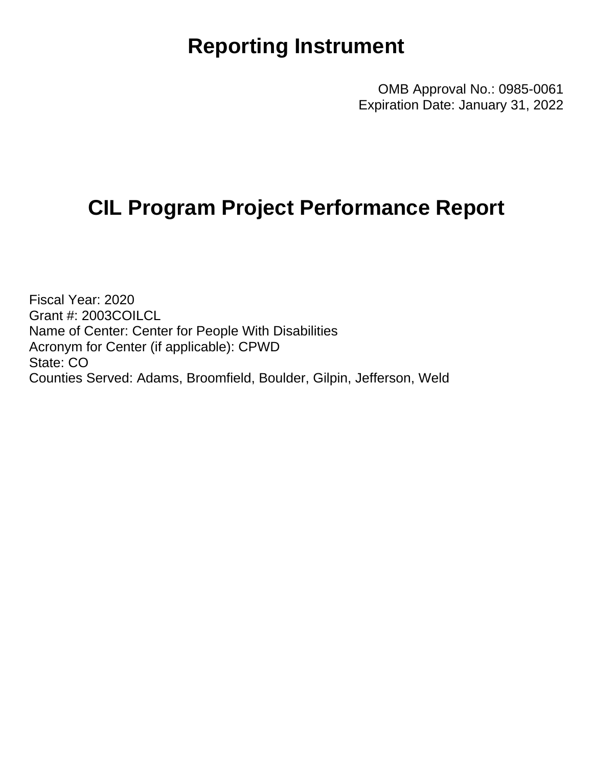## **Reporting Instrument**

OMB Approval No.: 0985-0061 Expiration Date: January 31, 2022

## **CIL Program Project Performance Report**

Fiscal Year: 2020 Grant #: 2003COILCL Name of Center: Center for People With Disabilities Acronym for Center (if applicable): CPWD State: CO Counties Served: Adams, Broomfield, Boulder, Gilpin, Jefferson, Weld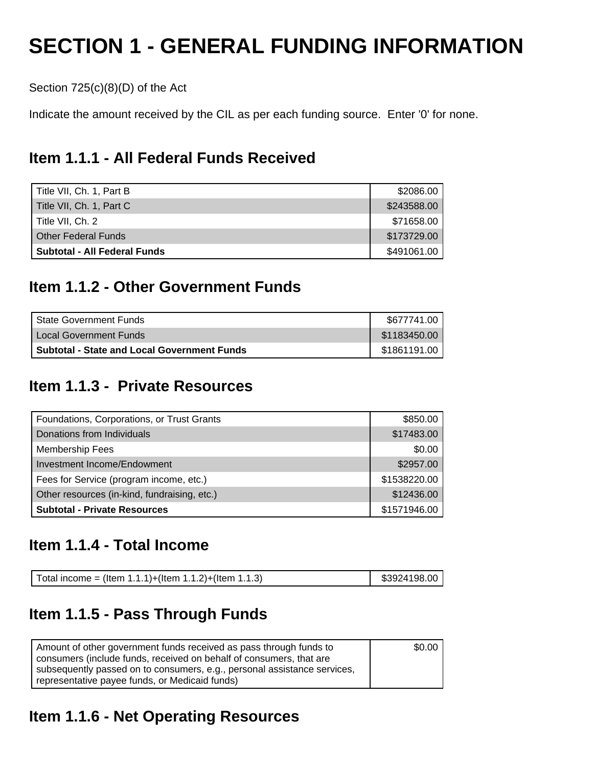## **SECTION 1 - GENERAL FUNDING INFORMATION**

Section 725(c)(8)(D) of the Act

Indicate the amount received by the CIL as per each funding source. Enter '0' for none.

## **Item 1.1.1 - All Federal Funds Received**

| Title VII, Ch. 1, Part B     | \$2086.00   |
|------------------------------|-------------|
| Title VII, Ch. 1, Part C     | \$243588.00 |
| Title VII. Ch. 2             | \$71658.00  |
| <b>Other Federal Funds</b>   | \$173729.00 |
| Subtotal - All Federal Funds | \$491061.00 |

## **Item 1.1.2 - Other Government Funds**

| I State Government Funds                           | \$677741.00  |
|----------------------------------------------------|--------------|
| I Local Government Funds                           | \$1183450.00 |
| <b>Subtotal - State and Local Government Funds</b> | \$1861191.00 |

## **Item 1.1.3 - Private Resources**

| Foundations, Corporations, or Trust Grants   | \$850.00     |
|----------------------------------------------|--------------|
| Donations from Individuals                   | \$17483.00   |
| <b>Membership Fees</b>                       | \$0.00       |
| Investment Income/Endowment                  | \$2957.00    |
| Fees for Service (program income, etc.)      | \$1538220.00 |
| Other resources (in-kind, fundraising, etc.) | \$12436.00   |
| <b>Subtotal - Private Resources</b>          | \$1571946.00 |

### **Item 1.1.4 - Total Income**

| Total income = (Item 1.1.1)+(Item 1.1.2)+(Item 1.1.3) | \$3924198.00 |
|-------------------------------------------------------|--------------|
|-------------------------------------------------------|--------------|

## **Item 1.1.5 - Pass Through Funds**

| Amount of other government funds received as pass through funds to       | \$0.00 |
|--------------------------------------------------------------------------|--------|
| consumers (include funds, received on behalf of consumers, that are      |        |
| subsequently passed on to consumers, e.g., personal assistance services, |        |
| representative payee funds, or Medicaid funds)                           |        |

## **Item 1.1.6 - Net Operating Resources**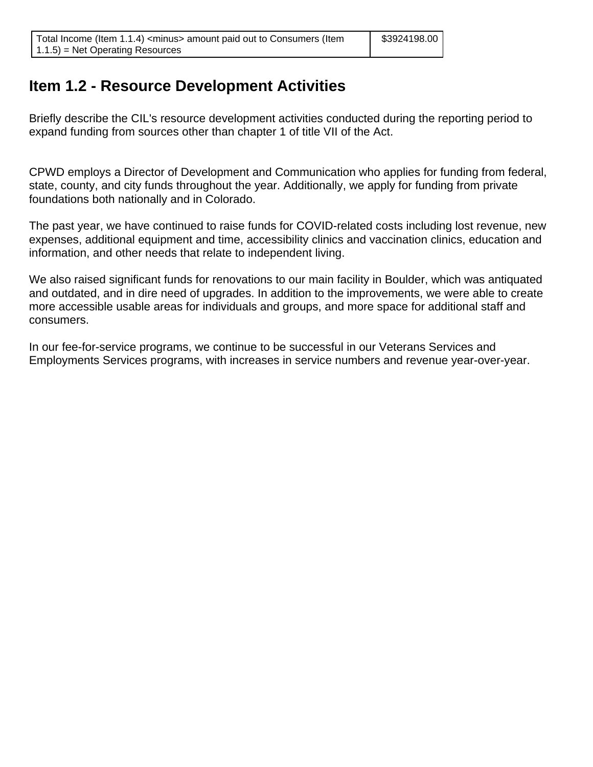## **Item 1.2 - Resource Development Activities**

Briefly describe the CIL's resource development activities conducted during the reporting period to expand funding from sources other than chapter 1 of title VII of the Act.

CPWD employs a Director of Development and Communication who applies for funding from federal, state, county, and city funds throughout the year. Additionally, we apply for funding from private foundations both nationally and in Colorado.

The past year, we have continued to raise funds for COVID-related costs including lost revenue, new expenses, additional equipment and time, accessibility clinics and vaccination clinics, education and information, and other needs that relate to independent living.

We also raised significant funds for renovations to our main facility in Boulder, which was antiquated and outdated, and in dire need of upgrades. In addition to the improvements, we were able to create more accessible usable areas for individuals and groups, and more space for additional staff and consumers.

In our fee-for-service programs, we continue to be successful in our Veterans Services and Employments Services programs, with increases in service numbers and revenue year-over-year.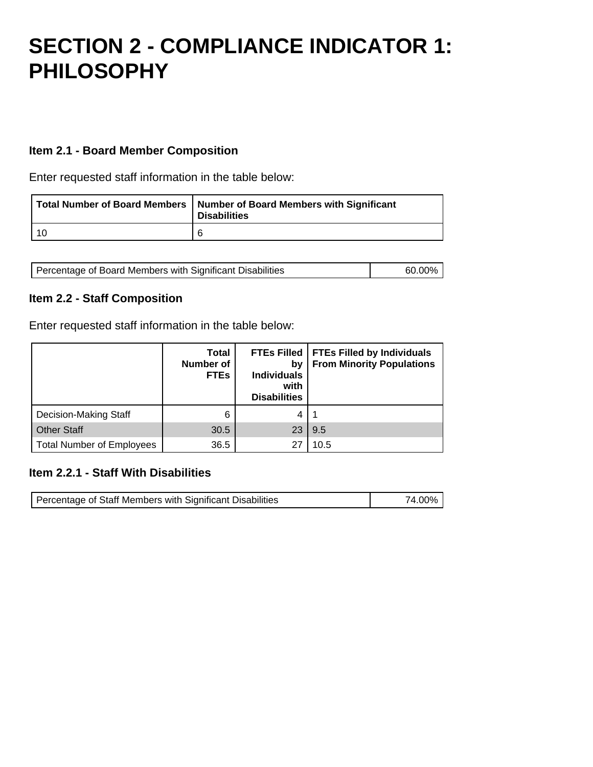## **SECTION 2 - COMPLIANCE INDICATOR 1: PHILOSOPHY**

### **Item 2.1 - Board Member Composition**

Enter requested staff information in the table below:

| Total Number of Board Members   Number of Board Members with Significant<br><b>Disabilities</b> |
|-------------------------------------------------------------------------------------------------|
| 6                                                                                               |

| Percentage of Board Members with Significant Disabilities | 60.00% |
|-----------------------------------------------------------|--------|
|                                                           |        |

#### **Item 2.2 - Staff Composition**

Enter requested staff information in the table below:

|                                  | <b>Total</b><br><b>Number of</b><br><b>FTEs</b> | <b>FTEs Filled</b><br>bν<br><b>Individuals</b><br>with<br><b>Disabilities</b> | <b>FTEs Filled by Individuals</b><br><b>From Minority Populations</b> |
|----------------------------------|-------------------------------------------------|-------------------------------------------------------------------------------|-----------------------------------------------------------------------|
| <b>Decision-Making Staff</b>     | 6                                               | 4                                                                             |                                                                       |
| <b>Other Staff</b>               | 30.5                                            | 23                                                                            | 9.5                                                                   |
| <b>Total Number of Employees</b> | 36.5                                            | 27                                                                            | 10.5                                                                  |

#### **Item 2.2.1 - Staff With Disabilities**

| Percentage of Staff Members with Significant Disabilities | 74.00% l |
|-----------------------------------------------------------|----------|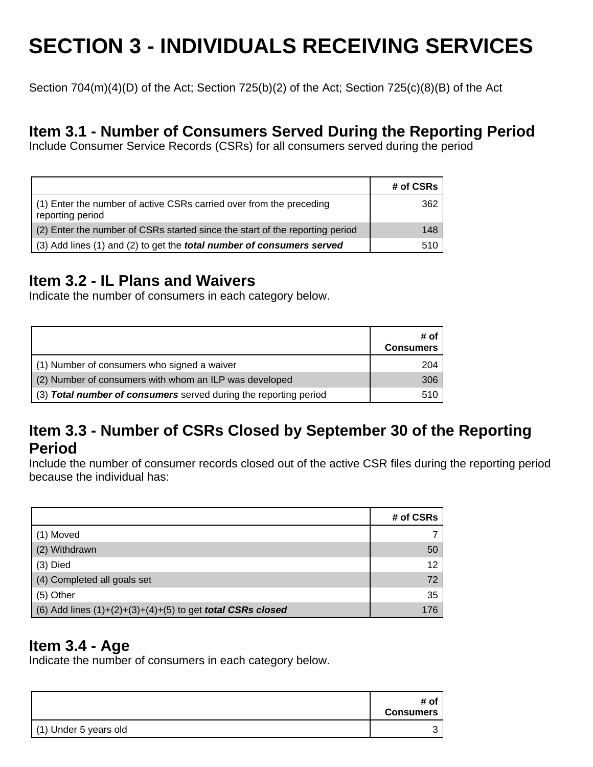# **SECTION 3 - INDIVIDUALS RECEIVING SERVICES**

Section 704(m)(4)(D) of the Act; Section 725(b)(2) of the Act; Section 725(c)(8)(B) of the Act

### **Item 3.1 - Number of Consumers Served During the Reporting Period**

Include Consumer Service Records (CSRs) for all consumers served during the period

|                                                                                         | # of CSRs |
|-----------------------------------------------------------------------------------------|-----------|
| (1) Enter the number of active CSRs carried over from the preceding<br>reporting period | 362       |
| (2) Enter the number of CSRs started since the start of the reporting period            | 148       |
| (3) Add lines (1) and (2) to get the <b>total number of consumers served</b>            | 510       |

## **Item 3.2 - IL Plans and Waivers**

Indicate the number of consumers in each category below.

|                                                                  | # of<br><b>Consumers</b> |
|------------------------------------------------------------------|--------------------------|
| (1) Number of consumers who signed a waiver                      | 204                      |
| (2) Number of consumers with whom an ILP was developed           | 306                      |
| (3) Total number of consumers served during the reporting period | 510                      |

### **Item 3.3 - Number of CSRs Closed by September 30 of the Reporting Period**

Include the number of consumer records closed out of the active CSR files during the reporting period because the individual has:

|                                                                     | # of CSRs |
|---------------------------------------------------------------------|-----------|
| (1) Moved                                                           |           |
| (2) Withdrawn                                                       | 50        |
| $(3)$ Died                                                          | 12        |
| (4) Completed all goals set                                         | 72        |
| (5) Other                                                           | 35        |
| (6) Add lines $(1)+(2)+(3)+(4)+(5)$ to get <b>total CSRs closed</b> | 176       |

### **Item 3.4 - Age**

Indicate the number of consumers in each category below.

|                       | # of<br><b>Consumers</b> |
|-----------------------|--------------------------|
| (1) Under 5 years old |                          |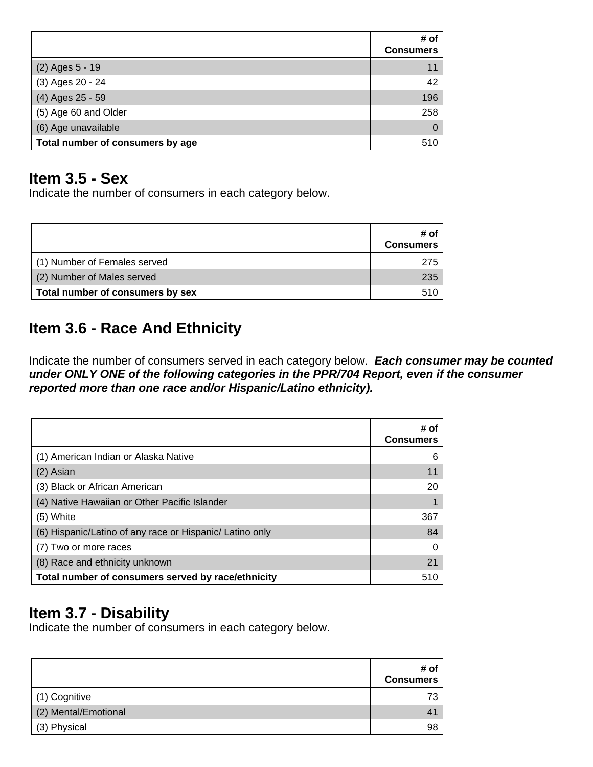|                                  | # of<br><b>Consumers</b> |
|----------------------------------|--------------------------|
| (2) Ages 5 - 19                  | 11                       |
| (3) Ages 20 - 24                 | 42                       |
| (4) Ages 25 - 59                 | 196                      |
| (5) Age 60 and Older             | 258                      |
| (6) Age unavailable              | 0                        |
| Total number of consumers by age | 510                      |

### **Item 3.5 - Sex**

Indicate the number of consumers in each category below.

|                                  | # of<br><b>Consumers</b> |
|----------------------------------|--------------------------|
| (1) Number of Females served     | 275                      |
| (2) Number of Males served       | 235                      |
| Total number of consumers by sex | 510.                     |

## **Item 3.6 - Race And Ethnicity**

Indicate the number of consumers served in each category below. **Each consumer may be counted under ONLY ONE of the following categories in the PPR/704 Report, even if the consumer reported more than one race and/or Hispanic/Latino ethnicity).**

|                                                          | # of<br><b>Consumers</b> |
|----------------------------------------------------------|--------------------------|
| (1) American Indian or Alaska Native                     | 6                        |
| (2) Asian                                                | 11                       |
| (3) Black or African American                            | 20                       |
| (4) Native Hawaiian or Other Pacific Islander            |                          |
| (5) White                                                | 367                      |
| (6) Hispanic/Latino of any race or Hispanic/ Latino only | 84                       |
| (7) Two or more races                                    |                          |
| (8) Race and ethnicity unknown                           | 21                       |
| Total number of consumers served by race/ethnicity       | 510                      |

## **Item 3.7 - Disability**

Indicate the number of consumers in each category below.

|                      | # of<br><b>Consumers</b> |
|----------------------|--------------------------|
| (1) Cognitive        |                          |
| (2) Mental/Emotional |                          |
| (3) Physical         | 98                       |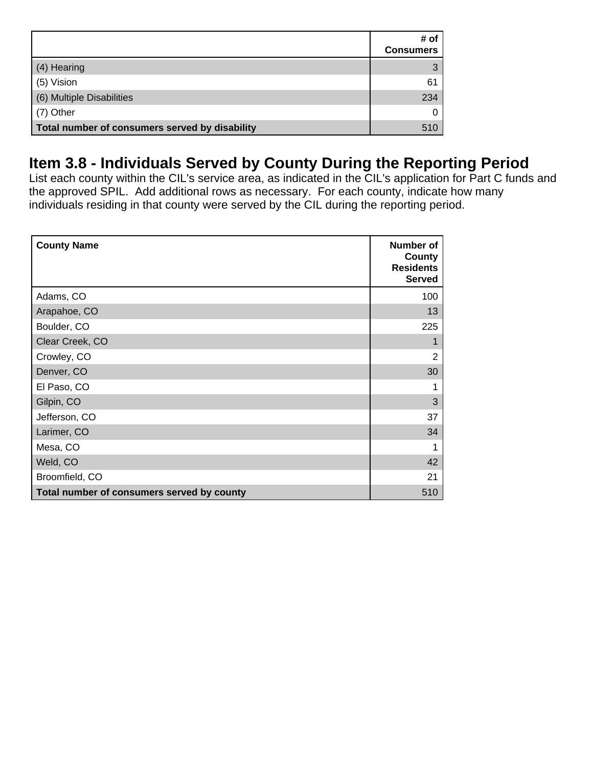|                                                | # of<br><b>Consumers</b> |
|------------------------------------------------|--------------------------|
| (4) Hearing                                    |                          |
| (5) Vision                                     | 61                       |
| (6) Multiple Disabilities                      | 234                      |
| (7) Other                                      |                          |
| Total number of consumers served by disability | 510                      |

## **Item 3.8 - Individuals Served by County During the Reporting Period**

List each county within the CIL's service area, as indicated in the CIL's application for Part C funds and the approved SPIL. Add additional rows as necessary. For each county, indicate how many individuals residing in that county were served by the CIL during the reporting period.

| <b>County Name</b>                         | Number of<br>County<br><b>Residents</b><br><b>Served</b> |
|--------------------------------------------|----------------------------------------------------------|
| Adams, CO                                  | 100                                                      |
| Arapahoe, CO                               | 13                                                       |
| Boulder, CO                                | 225                                                      |
| Clear Creek, CO                            | 1                                                        |
| Crowley, CO                                | $\overline{2}$                                           |
| Denver, CO                                 | 30                                                       |
| El Paso, CO                                | 1                                                        |
| Gilpin, CO                                 | 3                                                        |
| Jefferson, CO                              | 37                                                       |
| Larimer, CO                                | 34                                                       |
| Mesa, CO                                   | 1                                                        |
| Weld, CO                                   | 42                                                       |
| Broomfield, CO                             | 21                                                       |
| Total number of consumers served by county | 510                                                      |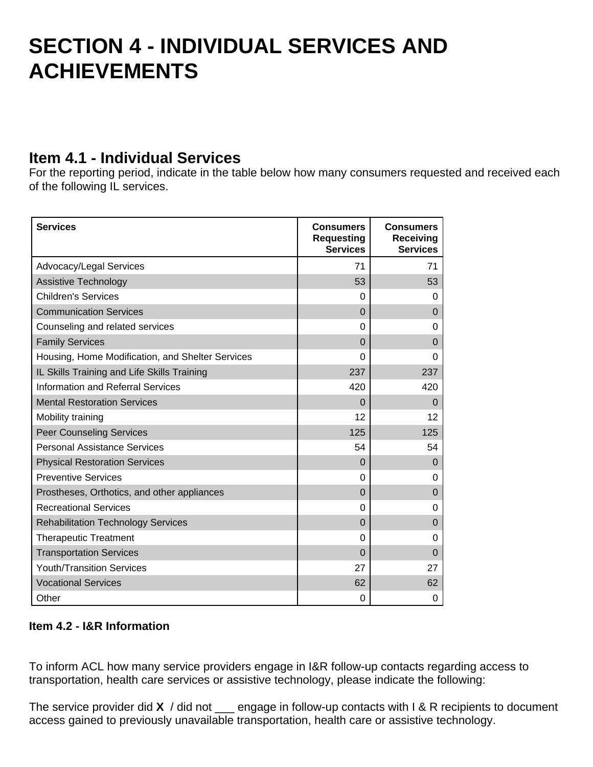## **SECTION 4 - INDIVIDUAL SERVICES AND ACHIEVEMENTS**

### **Item 4.1 - Individual Services**

For the reporting period, indicate in the table below how many consumers requested and received each of the following IL services.

| <b>Services</b>                                  | <b>Consumers</b><br><b>Requesting</b><br><b>Services</b> | <b>Consumers</b><br>Receiving<br><b>Services</b> |
|--------------------------------------------------|----------------------------------------------------------|--------------------------------------------------|
| Advocacy/Legal Services                          | 71                                                       | 71                                               |
| <b>Assistive Technology</b>                      | 53                                                       | 53                                               |
| <b>Children's Services</b>                       | 0                                                        | $\Omega$                                         |
| <b>Communication Services</b>                    | $\Omega$                                                 | $\Omega$                                         |
| Counseling and related services                  | $\Omega$                                                 | 0                                                |
| <b>Family Services</b>                           | $\Omega$                                                 | 0                                                |
| Housing, Home Modification, and Shelter Services | $\Omega$                                                 | 0                                                |
| IL Skills Training and Life Skills Training      | 237                                                      | 237                                              |
| <b>Information and Referral Services</b>         | 420                                                      | 420                                              |
| <b>Mental Restoration Services</b>               | $\Omega$                                                 | $\Omega$                                         |
| Mobility training                                | 12                                                       | 12                                               |
| <b>Peer Counseling Services</b>                  | 125                                                      | 125                                              |
| <b>Personal Assistance Services</b>              | 54                                                       | 54                                               |
| <b>Physical Restoration Services</b>             | 0                                                        | $\Omega$                                         |
| <b>Preventive Services</b>                       | $\Omega$                                                 | 0                                                |
| Prostheses, Orthotics, and other appliances      | $\Omega$                                                 | 0                                                |
| <b>Recreational Services</b>                     | $\Omega$                                                 | 0                                                |
| <b>Rehabilitation Technology Services</b>        | $\Omega$                                                 | 0                                                |
| <b>Therapeutic Treatment</b>                     | $\Omega$                                                 | 0                                                |
| <b>Transportation Services</b>                   | $\Omega$                                                 | $\overline{0}$                                   |
| <b>Youth/Transition Services</b>                 | 27                                                       | 27                                               |
| <b>Vocational Services</b>                       | 62                                                       | 62                                               |
| Other                                            | 0                                                        | 0                                                |

### **Item 4.2 - I&R Information**

To inform ACL how many service providers engage in I&R follow-up contacts regarding access to transportation, health care services or assistive technology, please indicate the following:

The service provider did **X** / did not \_\_\_ engage in follow-up contacts with I & R recipients to document access gained to previously unavailable transportation, health care or assistive technology.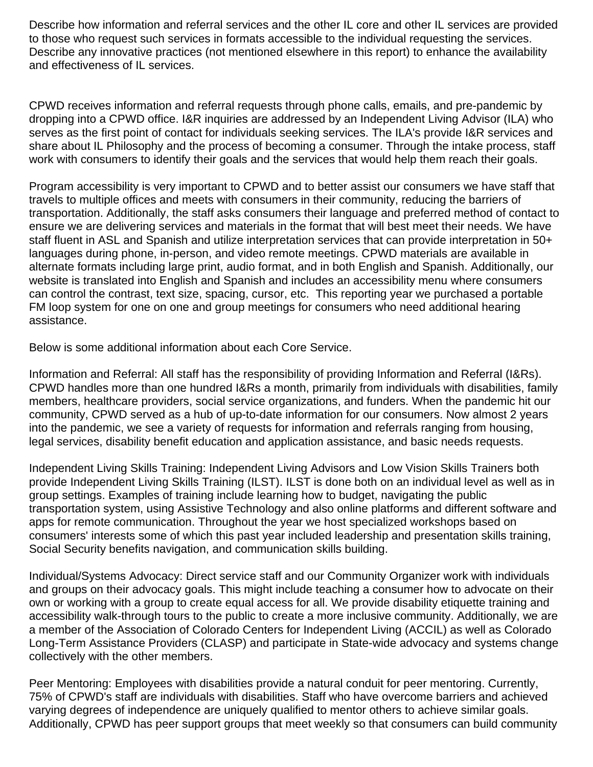Describe how information and referral services and the other IL core and other IL services are provided to those who request such services in formats accessible to the individual requesting the services. Describe any innovative practices (not mentioned elsewhere in this report) to enhance the availability and effectiveness of IL services.

CPWD receives information and referral requests through phone calls, emails, and pre-pandemic by dropping into a CPWD office. I&R inquiries are addressed by an Independent Living Advisor (ILA) who serves as the first point of contact for individuals seeking services. The ILA's provide I&R services and share about IL Philosophy and the process of becoming a consumer. Through the intake process, staff work with consumers to identify their goals and the services that would help them reach their goals.

Program accessibility is very important to CPWD and to better assist our consumers we have staff that travels to multiple offices and meets with consumers in their community, reducing the barriers of transportation. Additionally, the staff asks consumers their language and preferred method of contact to ensure we are delivering services and materials in the format that will best meet their needs. We have staff fluent in ASL and Spanish and utilize interpretation services that can provide interpretation in 50+ languages during phone, in-person, and video remote meetings. CPWD materials are available in alternate formats including large print, audio format, and in both English and Spanish. Additionally, our website is translated into English and Spanish and includes an accessibility menu where consumers can control the contrast, text size, spacing, cursor, etc. This reporting year we purchased a portable FM loop system for one on one and group meetings for consumers who need additional hearing assistance.

Below is some additional information about each Core Service.

Information and Referral: All staff has the responsibility of providing Information and Referral (I&Rs). CPWD handles more than one hundred I&Rs a month, primarily from individuals with disabilities, family members, healthcare providers, social service organizations, and funders. When the pandemic hit our community, CPWD served as a hub of up-to-date information for our consumers. Now almost 2 years into the pandemic, we see a variety of requests for information and referrals ranging from housing, legal services, disability benefit education and application assistance, and basic needs requests.

Independent Living Skills Training: Independent Living Advisors and Low Vision Skills Trainers both provide Independent Living Skills Training (ILST). ILST is done both on an individual level as well as in group settings. Examples of training include learning how to budget, navigating the public transportation system, using Assistive Technology and also online platforms and different software and apps for remote communication. Throughout the year we host specialized workshops based on consumers' interests some of which this past year included leadership and presentation skills training, Social Security benefits navigation, and communication skills building.

Individual/Systems Advocacy: Direct service staff and our Community Organizer work with individuals and groups on their advocacy goals. This might include teaching a consumer how to advocate on their own or working with a group to create equal access for all. We provide disability etiquette training and accessibility walk-through tours to the public to create a more inclusive community. Additionally, we are a member of the Association of Colorado Centers for Independent Living (ACCIL) as well as Colorado Long-Term Assistance Providers (CLASP) and participate in State-wide advocacy and systems change collectively with the other members.

Peer Mentoring: Employees with disabilities provide a natural conduit for peer mentoring. Currently, 75% of CPWD's staff are individuals with disabilities. Staff who have overcome barriers and achieved varying degrees of independence are uniquely qualified to mentor others to achieve similar goals. Additionally, CPWD has peer support groups that meet weekly so that consumers can build community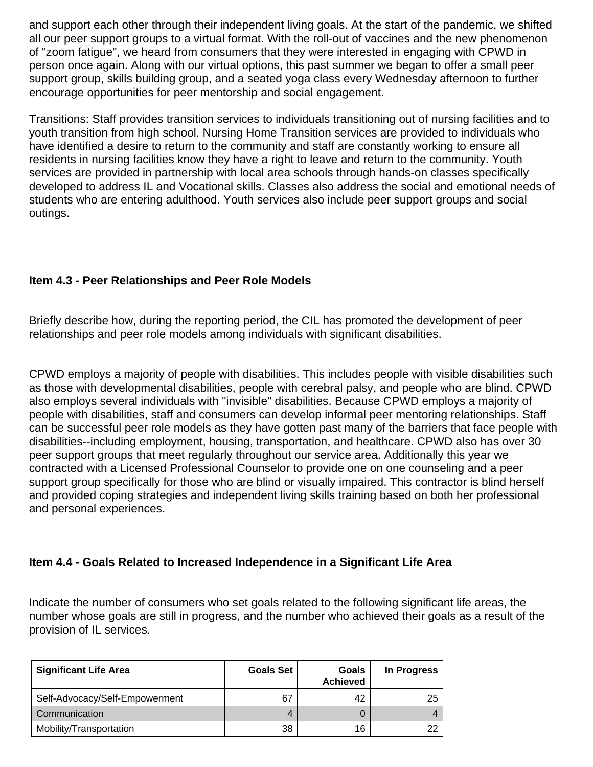and support each other through their independent living goals. At the start of the pandemic, we shifted all our peer support groups to a virtual format. With the roll-out of vaccines and the new phenomenon of "zoom fatigue", we heard from consumers that they were interested in engaging with CPWD in person once again. Along with our virtual options, this past summer we began to offer a small peer support group, skills building group, and a seated yoga class every Wednesday afternoon to further encourage opportunities for peer mentorship and social engagement.

Transitions: Staff provides transition services to individuals transitioning out of nursing facilities and to youth transition from high school. Nursing Home Transition services are provided to individuals who have identified a desire to return to the community and staff are constantly working to ensure all residents in nursing facilities know they have a right to leave and return to the community. Youth services are provided in partnership with local area schools through hands-on classes specifically developed to address IL and Vocational skills. Classes also address the social and emotional needs of students who are entering adulthood. Youth services also include peer support groups and social outings.

### **Item 4.3 - Peer Relationships and Peer Role Models**

Briefly describe how, during the reporting period, the CIL has promoted the development of peer relationships and peer role models among individuals with significant disabilities.

CPWD employs a majority of people with disabilities. This includes people with visible disabilities such as those with developmental disabilities, people with cerebral palsy, and people who are blind. CPWD also employs several individuals with "invisible" disabilities. Because CPWD employs a majority of people with disabilities, staff and consumers can develop informal peer mentoring relationships. Staff can be successful peer role models as they have gotten past many of the barriers that face people with disabilities--including employment, housing, transportation, and healthcare. CPWD also has over 30 peer support groups that meet regularly throughout our service area. Additionally this year we contracted with a Licensed Professional Counselor to provide one on one counseling and a peer support group specifically for those who are blind or visually impaired. This contractor is blind herself and provided coping strategies and independent living skills training based on both her professional and personal experiences.

### **Item 4.4 - Goals Related to Increased Independence in a Significant Life Area**

Indicate the number of consumers who set goals related to the following significant life areas, the number whose goals are still in progress, and the number who achieved their goals as a result of the provision of IL services.

| <b>Significant Life Area</b>   | <b>Goals Set</b> | <b>Goals</b><br><b>Achieved</b> | In Progress |
|--------------------------------|------------------|---------------------------------|-------------|
| Self-Advocacy/Self-Empowerment | 67               | 42                              | 25          |
| Communication                  | 4                |                                 |             |
| Mobility/Transportation        | 38               | 16                              | 22          |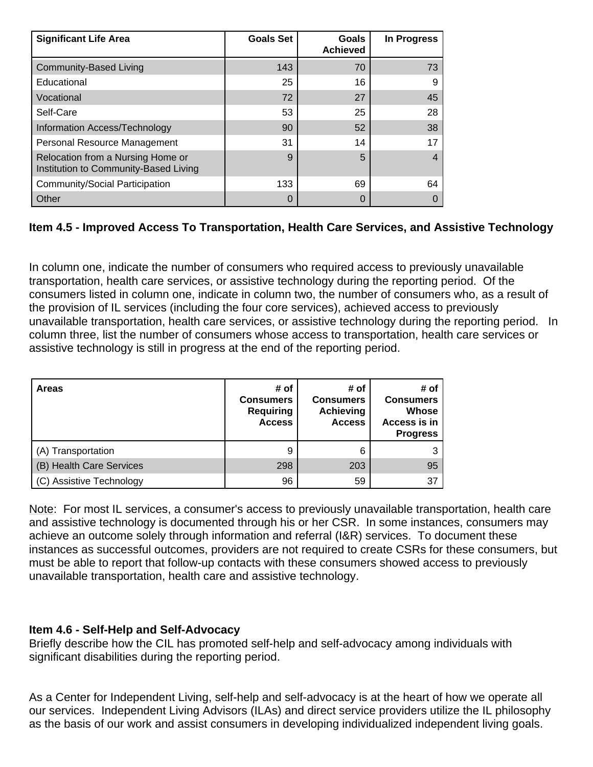| <b>Significant Life Area</b>                                               | <b>Goals Set</b> | Goals<br><b>Achieved</b> | In Progress |
|----------------------------------------------------------------------------|------------------|--------------------------|-------------|
| <b>Community-Based Living</b>                                              | 143              | 70                       | 73          |
| Educational                                                                | 25               | 16                       | 9           |
| Vocational                                                                 | 72               | 27                       | 45          |
| Self-Care                                                                  | 53               | 25                       | 28          |
| Information Access/Technology                                              | 90               | 52                       | 38          |
| Personal Resource Management                                               | 31               | 14                       | 17          |
| Relocation from a Nursing Home or<br>Institution to Community-Based Living | 9                | 5                        |             |
| Community/Social Participation                                             | 133              | 69                       | 64          |
| Other                                                                      |                  | 0                        |             |

### **Item 4.5 - Improved Access To Transportation, Health Care Services, and Assistive Technology**

In column one, indicate the number of consumers who required access to previously unavailable transportation, health care services, or assistive technology during the reporting period. Of the consumers listed in column one, indicate in column two, the number of consumers who, as a result of the provision of IL services (including the four core services), achieved access to previously unavailable transportation, health care services, or assistive technology during the reporting period. In column three, list the number of consumers whose access to transportation, health care services or assistive technology is still in progress at the end of the reporting period.

| <b>Areas</b>             | # of<br><b>Consumers</b><br><b>Requiring</b><br><b>Access</b> | # of<br><b>Consumers</b><br><b>Achieving</b><br><b>Access</b> | # of<br><b>Consumers</b><br><b>Whose</b><br>Access is in<br><b>Progress</b> |
|--------------------------|---------------------------------------------------------------|---------------------------------------------------------------|-----------------------------------------------------------------------------|
| (A) Transportation       | 9                                                             | 6                                                             |                                                                             |
| (B) Health Care Services | 298                                                           | 203                                                           | 95                                                                          |
| (C) Assistive Technology | 96                                                            | 59                                                            | 37                                                                          |

Note: For most IL services, a consumer's access to previously unavailable transportation, health care and assistive technology is documented through his or her CSR. In some instances, consumers may achieve an outcome solely through information and referral (I&R) services. To document these instances as successful outcomes, providers are not required to create CSRs for these consumers, but must be able to report that follow-up contacts with these consumers showed access to previously unavailable transportation, health care and assistive technology.

### **Item 4.6 - Self-Help and Self-Advocacy**

Briefly describe how the CIL has promoted self-help and self-advocacy among individuals with significant disabilities during the reporting period.

As a Center for Independent Living, self-help and self-advocacy is at the heart of how we operate all our services. Independent Living Advisors (ILAs) and direct service providers utilize the IL philosophy as the basis of our work and assist consumers in developing individualized independent living goals.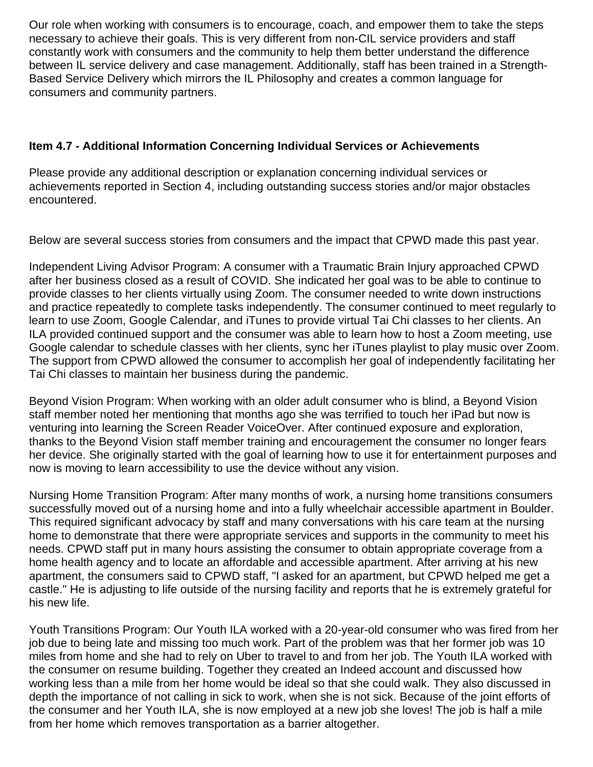Our role when working with consumers is to encourage, coach, and empower them to take the steps necessary to achieve their goals. This is very different from non-CIL service providers and staff constantly work with consumers and the community to help them better understand the difference between IL service delivery and case management. Additionally, staff has been trained in a Strength-Based Service Delivery which mirrors the IL Philosophy and creates a common language for consumers and community partners.

### **Item 4.7 - Additional Information Concerning Individual Services or Achievements**

Please provide any additional description or explanation concerning individual services or achievements reported in Section 4, including outstanding success stories and/or major obstacles encountered.

Below are several success stories from consumers and the impact that CPWD made this past year.

Independent Living Advisor Program: A consumer with a Traumatic Brain Injury approached CPWD after her business closed as a result of COVID. She indicated her goal was to be able to continue to provide classes to her clients virtually using Zoom. The consumer needed to write down instructions and practice repeatedly to complete tasks independently. The consumer continued to meet regularly to learn to use Zoom, Google Calendar, and iTunes to provide virtual Tai Chi classes to her clients. An ILA provided continued support and the consumer was able to learn how to host a Zoom meeting, use Google calendar to schedule classes with her clients, sync her iTunes playlist to play music over Zoom. The support from CPWD allowed the consumer to accomplish her goal of independently facilitating her Tai Chi classes to maintain her business during the pandemic.

Beyond Vision Program: When working with an older adult consumer who is blind, a Beyond Vision staff member noted her mentioning that months ago she was terrified to touch her iPad but now is venturing into learning the Screen Reader VoiceOver. After continued exposure and exploration, thanks to the Beyond Vision staff member training and encouragement the consumer no longer fears her device. She originally started with the goal of learning how to use it for entertainment purposes and now is moving to learn accessibility to use the device without any vision.

Nursing Home Transition Program: After many months of work, a nursing home transitions consumers successfully moved out of a nursing home and into a fully wheelchair accessible apartment in Boulder. This required significant advocacy by staff and many conversations with his care team at the nursing home to demonstrate that there were appropriate services and supports in the community to meet his needs. CPWD staff put in many hours assisting the consumer to obtain appropriate coverage from a home health agency and to locate an affordable and accessible apartment. After arriving at his new apartment, the consumers said to CPWD staff, "I asked for an apartment, but CPWD helped me get a castle." He is adjusting to life outside of the nursing facility and reports that he is extremely grateful for his new life.

Youth Transitions Program: Our Youth ILA worked with a 20-year-old consumer who was fired from her job due to being late and missing too much work. Part of the problem was that her former job was 10 miles from home and she had to rely on Uber to travel to and from her job. The Youth ILA worked with the consumer on resume building. Together they created an Indeed account and discussed how working less than a mile from her home would be ideal so that she could walk. They also discussed in depth the importance of not calling in sick to work, when she is not sick. Because of the joint efforts of the consumer and her Youth ILA, she is now employed at a new job she loves! The job is half a mile from her home which removes transportation as a barrier altogether.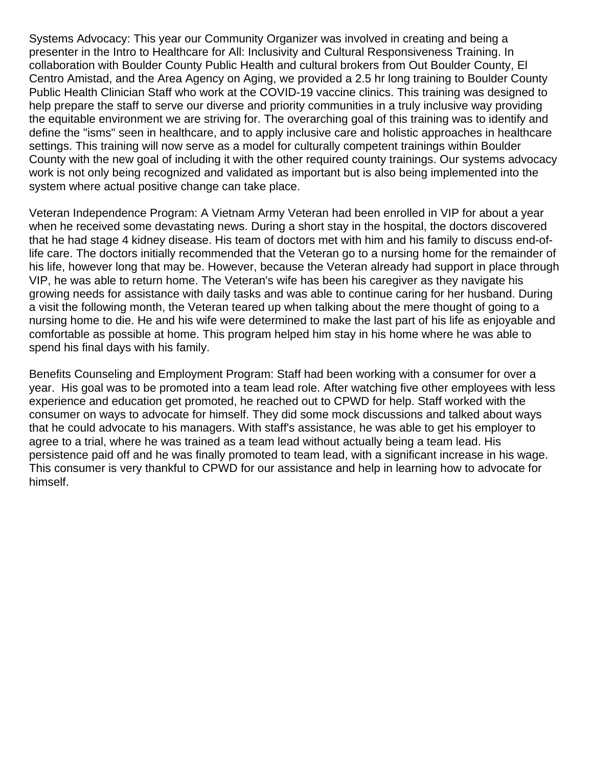Systems Advocacy: This year our Community Organizer was involved in creating and being a presenter in the Intro to Healthcare for All: Inclusivity and Cultural Responsiveness Training. In collaboration with Boulder County Public Health and cultural brokers from Out Boulder County, El Centro Amistad, and the Area Agency on Aging, we provided a 2.5 hr long training to Boulder County Public Health Clinician Staff who work at the COVID-19 vaccine clinics. This training was designed to help prepare the staff to serve our diverse and priority communities in a truly inclusive way providing the equitable environment we are striving for. The overarching goal of this training was to identify and define the "isms" seen in healthcare, and to apply inclusive care and holistic approaches in healthcare settings. This training will now serve as a model for culturally competent trainings within Boulder County with the new goal of including it with the other required county trainings. Our systems advocacy work is not only being recognized and validated as important but is also being implemented into the system where actual positive change can take place.

Veteran Independence Program: A Vietnam Army Veteran had been enrolled in VIP for about a year when he received some devastating news. During a short stay in the hospital, the doctors discovered that he had stage 4 kidney disease. His team of doctors met with him and his family to discuss end-oflife care. The doctors initially recommended that the Veteran go to a nursing home for the remainder of his life, however long that may be. However, because the Veteran already had support in place through VIP, he was able to return home. The Veteran's wife has been his caregiver as they navigate his growing needs for assistance with daily tasks and was able to continue caring for her husband. During a visit the following month, the Veteran teared up when talking about the mere thought of going to a nursing home to die. He and his wife were determined to make the last part of his life as enjoyable and comfortable as possible at home. This program helped him stay in his home where he was able to spend his final days with his family.

Benefits Counseling and Employment Program: Staff had been working with a consumer for over a year. His goal was to be promoted into a team lead role. After watching five other employees with less experience and education get promoted, he reached out to CPWD for help. Staff worked with the consumer on ways to advocate for himself. They did some mock discussions and talked about ways that he could advocate to his managers. With staff's assistance, he was able to get his employer to agree to a trial, where he was trained as a team lead without actually being a team lead. His persistence paid off and he was finally promoted to team lead, with a significant increase in his wage. This consumer is very thankful to CPWD for our assistance and help in learning how to advocate for himself.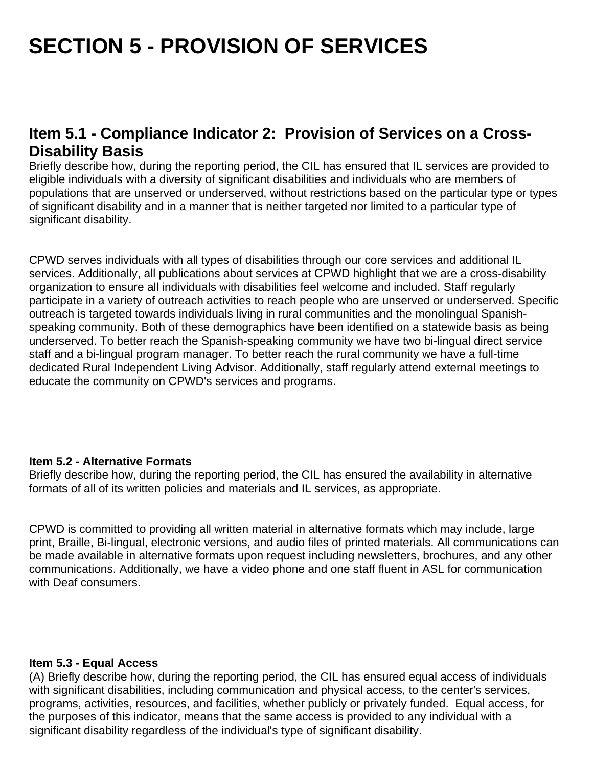## **SECTION 5 - PROVISION OF SERVICES**

## **Item 5.1 - Compliance Indicator 2: Provision of Services on a Cross-Disability Basis**

Briefly describe how, during the reporting period, the CIL has ensured that IL services are provided to eligible individuals with a diversity of significant disabilities and individuals who are members of populations that are unserved or underserved, without restrictions based on the particular type or types of significant disability and in a manner that is neither targeted nor limited to a particular type of significant disability.

CPWD serves individuals with all types of disabilities through our core services and additional IL services. Additionally, all publications about services at CPWD highlight that we are a cross-disability organization to ensure all individuals with disabilities feel welcome and included. Staff regularly participate in a variety of outreach activities to reach people who are unserved or underserved. Specific outreach is targeted towards individuals living in rural communities and the monolingual Spanishspeaking community. Both of these demographics have been identified on a statewide basis as being underserved. To better reach the Spanish-speaking community we have two bi-lingual direct service staff and a bi-lingual program manager. To better reach the rural community we have a full-time dedicated Rural Independent Living Advisor. Additionally, staff regularly attend external meetings to educate the community on CPWD's services and programs.

#### **Item 5.2 - Alternative Formats**

Briefly describe how, during the reporting period, the CIL has ensured the availability in alternative formats of all of its written policies and materials and IL services, as appropriate.

CPWD is committed to providing all written material in alternative formats which may include, large print, Braille, Bi-lingual, electronic versions, and audio files of printed materials. All communications can be made available in alternative formats upon request including newsletters, brochures, and any other communications. Additionally, we have a video phone and one staff fluent in ASL for communication with Deaf consumers.

#### **Item 5.3 - Equal Access**

(A) Briefly describe how, during the reporting period, the CIL has ensured equal access of individuals with significant disabilities, including communication and physical access, to the center's services, programs, activities, resources, and facilities, whether publicly or privately funded. Equal access, for the purposes of this indicator, means that the same access is provided to any individual with a significant disability regardless of the individual's type of significant disability.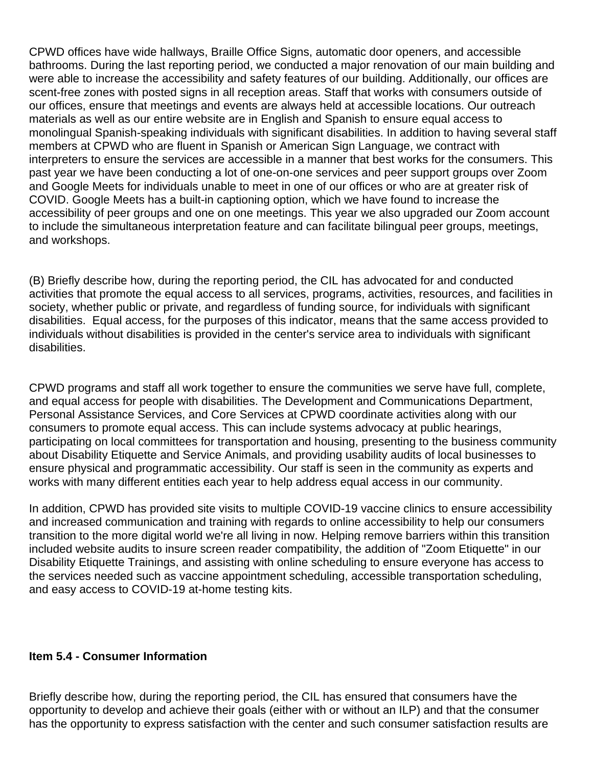CPWD offices have wide hallways, Braille Office Signs, automatic door openers, and accessible bathrooms. During the last reporting period, we conducted a major renovation of our main building and were able to increase the accessibility and safety features of our building. Additionally, our offices are scent-free zones with posted signs in all reception areas. Staff that works with consumers outside of our offices, ensure that meetings and events are always held at accessible locations. Our outreach materials as well as our entire website are in English and Spanish to ensure equal access to monolingual Spanish-speaking individuals with significant disabilities. In addition to having several staff members at CPWD who are fluent in Spanish or American Sign Language, we contract with interpreters to ensure the services are accessible in a manner that best works for the consumers. This past year we have been conducting a lot of one-on-one services and peer support groups over Zoom and Google Meets for individuals unable to meet in one of our offices or who are at greater risk of COVID. Google Meets has a built-in captioning option, which we have found to increase the accessibility of peer groups and one on one meetings. This year we also upgraded our Zoom account to include the simultaneous interpretation feature and can facilitate bilingual peer groups, meetings, and workshops.

(B) Briefly describe how, during the reporting period, the CIL has advocated for and conducted activities that promote the equal access to all services, programs, activities, resources, and facilities in society, whether public or private, and regardless of funding source, for individuals with significant disabilities. Equal access, for the purposes of this indicator, means that the same access provided to individuals without disabilities is provided in the center's service area to individuals with significant disabilities.

CPWD programs and staff all work together to ensure the communities we serve have full, complete, and equal access for people with disabilities. The Development and Communications Department, Personal Assistance Services, and Core Services at CPWD coordinate activities along with our consumers to promote equal access. This can include systems advocacy at public hearings, participating on local committees for transportation and housing, presenting to the business community about Disability Etiquette and Service Animals, and providing usability audits of local businesses to ensure physical and programmatic accessibility. Our staff is seen in the community as experts and works with many different entities each year to help address equal access in our community.

In addition, CPWD has provided site visits to multiple COVID-19 vaccine clinics to ensure accessibility and increased communication and training with regards to online accessibility to help our consumers transition to the more digital world we're all living in now. Helping remove barriers within this transition included website audits to insure screen reader compatibility, the addition of "Zoom Etiquette" in our Disability Etiquette Trainings, and assisting with online scheduling to ensure everyone has access to the services needed such as vaccine appointment scheduling, accessible transportation scheduling, and easy access to COVID-19 at-home testing kits.

#### **Item 5.4 - Consumer Information**

Briefly describe how, during the reporting period, the CIL has ensured that consumers have the opportunity to develop and achieve their goals (either with or without an ILP) and that the consumer has the opportunity to express satisfaction with the center and such consumer satisfaction results are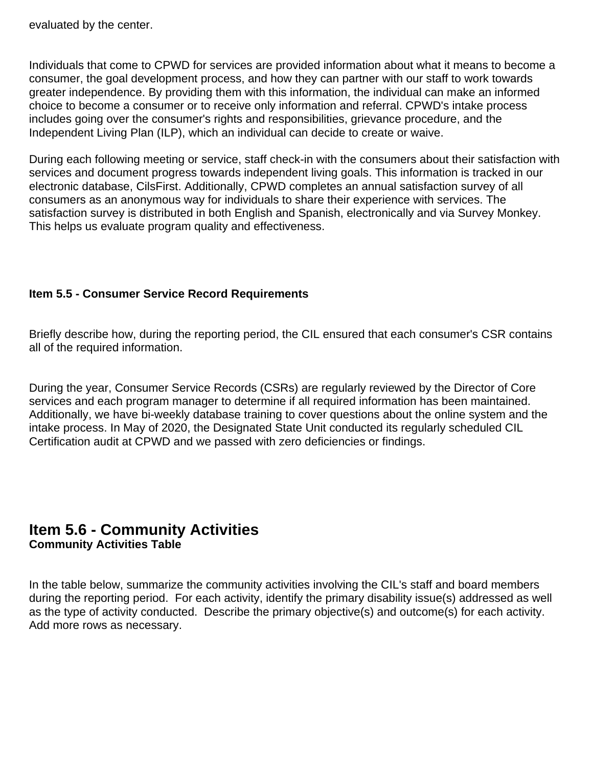evaluated by the center.

Individuals that come to CPWD for services are provided information about what it means to become a consumer, the goal development process, and how they can partner with our staff to work towards greater independence. By providing them with this information, the individual can make an informed choice to become a consumer or to receive only information and referral. CPWD's intake process includes going over the consumer's rights and responsibilities, grievance procedure, and the Independent Living Plan (ILP), which an individual can decide to create or waive.

During each following meeting or service, staff check-in with the consumers about their satisfaction with services and document progress towards independent living goals. This information is tracked in our electronic database, CilsFirst. Additionally, CPWD completes an annual satisfaction survey of all consumers as an anonymous way for individuals to share their experience with services. The satisfaction survey is distributed in both English and Spanish, electronically and via Survey Monkey. This helps us evaluate program quality and effectiveness.

#### **Item 5.5 - Consumer Service Record Requirements**

Briefly describe how, during the reporting period, the CIL ensured that each consumer's CSR contains all of the required information.

During the year, Consumer Service Records (CSRs) are regularly reviewed by the Director of Core services and each program manager to determine if all required information has been maintained. Additionally, we have bi-weekly database training to cover questions about the online system and the intake process. In May of 2020, the Designated State Unit conducted its regularly scheduled CIL Certification audit at CPWD and we passed with zero deficiencies or findings.

### **Item 5.6 - Community Activities Community Activities Table**

In the table below, summarize the community activities involving the CIL's staff and board members during the reporting period. For each activity, identify the primary disability issue(s) addressed as well as the type of activity conducted. Describe the primary objective(s) and outcome(s) for each activity. Add more rows as necessary.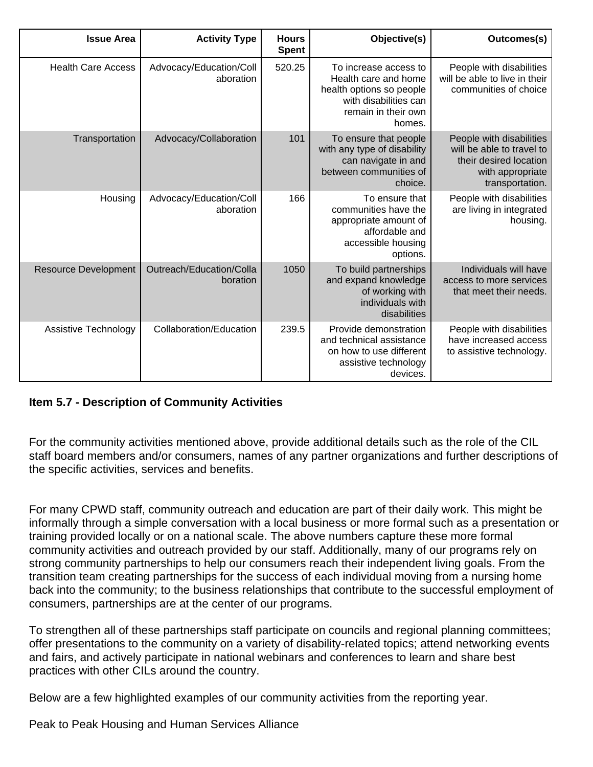| Outcomes(s)                                                                                                            | Objective(s)                                                                                                                        | <b>Hours</b><br><b>Spent</b> | <b>Activity Type</b>                 | <b>Issue Area</b>           |
|------------------------------------------------------------------------------------------------------------------------|-------------------------------------------------------------------------------------------------------------------------------------|------------------------------|--------------------------------------|-----------------------------|
| People with disabilities<br>will be able to live in their<br>communities of choice                                     | To increase access to<br>Health care and home<br>health options so people<br>with disabilities can<br>remain in their own<br>homes. | 520.25                       | Advocacy/Education/Coll<br>aboration | <b>Health Care Access</b>   |
| People with disabilities<br>will be able to travel to<br>their desired location<br>with appropriate<br>transportation. | To ensure that people<br>with any type of disability<br>can navigate in and<br>between communities of<br>choice.                    | 101                          | Advocacy/Collaboration               | Transportation              |
| People with disabilities<br>are living in integrated<br>housing.                                                       | To ensure that<br>communities have the<br>appropriate amount of<br>affordable and<br>accessible housing<br>options.                 | 166                          | Advocacy/Education/Coll<br>aboration | Housing                     |
| Individuals will have<br>access to more services<br>that meet their needs.                                             | To build partnerships<br>and expand knowledge<br>of working with<br>individuals with<br>disabilities                                | 1050                         | Outreach/Education/Colla<br>boration | <b>Resource Development</b> |
| People with disabilities<br>have increased access<br>to assistive technology.                                          | Provide demonstration<br>and technical assistance<br>on how to use different<br>assistive technology<br>devices.                    | 239.5                        | Collaboration/Education              | Assistive Technology        |

### **Item 5.7 - Description of Community Activities**

For the community activities mentioned above, provide additional details such as the role of the CIL staff board members and/or consumers, names of any partner organizations and further descriptions of the specific activities, services and benefits.

For many CPWD staff, community outreach and education are part of their daily work. This might be informally through a simple conversation with a local business or more formal such as a presentation or training provided locally or on a national scale. The above numbers capture these more formal community activities and outreach provided by our staff. Additionally, many of our programs rely on strong community partnerships to help our consumers reach their independent living goals. From the transition team creating partnerships for the success of each individual moving from a nursing home back into the community; to the business relationships that contribute to the successful employment of consumers, partnerships are at the center of our programs.

To strengthen all of these partnerships staff participate on councils and regional planning committees; offer presentations to the community on a variety of disability-related topics; attend networking events and fairs, and actively participate in national webinars and conferences to learn and share best practices with other CILs around the country.

Below are a few highlighted examples of our community activities from the reporting year.

Peak to Peak Housing and Human Services Alliance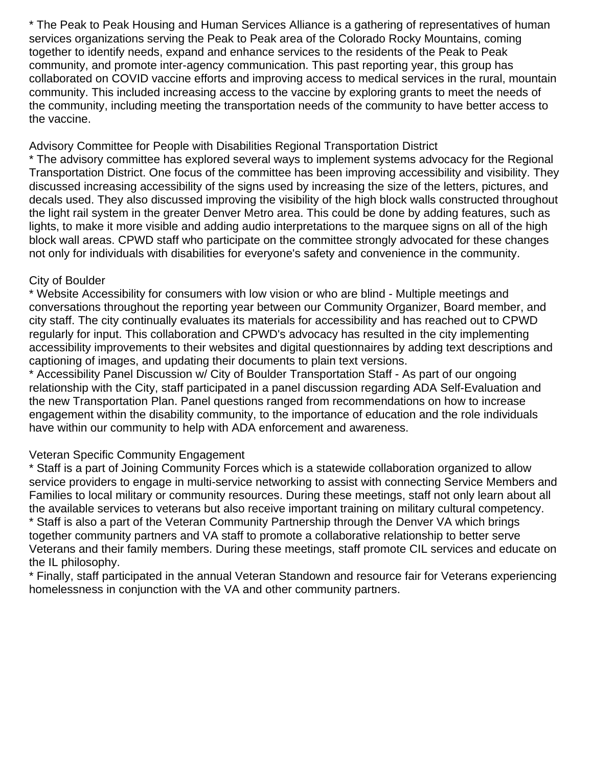\* The Peak to Peak Housing and Human Services Alliance is a gathering of representatives of human services organizations serving the Peak to Peak area of the Colorado Rocky Mountains, coming together to identify needs, expand and enhance services to the residents of the Peak to Peak community, and promote inter-agency communication. This past reporting year, this group has collaborated on COVID vaccine efforts and improving access to medical services in the rural, mountain community. This included increasing access to the vaccine by exploring grants to meet the needs of the community, including meeting the transportation needs of the community to have better access to the vaccine.

#### Advisory Committee for People with Disabilities Regional Transportation District

\* The advisory committee has explored several ways to implement systems advocacy for the Regional Transportation District. One focus of the committee has been improving accessibility and visibility. They discussed increasing accessibility of the signs used by increasing the size of the letters, pictures, and decals used. They also discussed improving the visibility of the high block walls constructed throughout the light rail system in the greater Denver Metro area. This could be done by adding features, such as lights, to make it more visible and adding audio interpretations to the marquee signs on all of the high block wall areas. CPWD staff who participate on the committee strongly advocated for these changes not only for individuals with disabilities for everyone's safety and convenience in the community.

#### City of Boulder

\* Website Accessibility for consumers with low vision or who are blind - Multiple meetings and conversations throughout the reporting year between our Community Organizer, Board member, and city staff. The city continually evaluates its materials for accessibility and has reached out to CPWD regularly for input. This collaboration and CPWD's advocacy has resulted in the city implementing accessibility improvements to their websites and digital questionnaires by adding text descriptions and captioning of images, and updating their documents to plain text versions.

\* Accessibility Panel Discussion w/ City of Boulder Transportation Staff - As part of our ongoing relationship with the City, staff participated in a panel discussion regarding ADA Self-Evaluation and the new Transportation Plan. Panel questions ranged from recommendations on how to increase engagement within the disability community, to the importance of education and the role individuals have within our community to help with ADA enforcement and awareness.

### Veteran Specific Community Engagement

\* Staff is a part of Joining Community Forces which is a statewide collaboration organized to allow service providers to engage in multi-service networking to assist with connecting Service Members and Families to local military or community resources. During these meetings, staff not only learn about all the available services to veterans but also receive important training on military cultural competency. \* Staff is also a part of the Veteran Community Partnership through the Denver VA which brings together community partners and VA staff to promote a collaborative relationship to better serve Veterans and their family members. During these meetings, staff promote CIL services and educate on the IL philosophy.

\* Finally, staff participated in the annual Veteran Standown and resource fair for Veterans experiencing homelessness in conjunction with the VA and other community partners.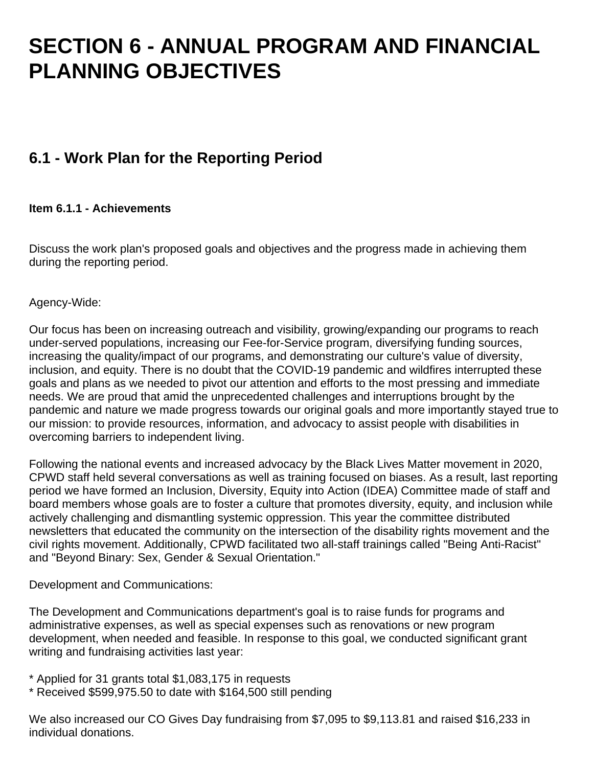## **SECTION 6 - ANNUAL PROGRAM AND FINANCIAL PLANNING OBJECTIVES**

## **6.1 - Work Plan for the Reporting Period**

### **Item 6.1.1 - Achievements**

Discuss the work plan's proposed goals and objectives and the progress made in achieving them during the reporting period.

Agency-Wide:

Our focus has been on increasing outreach and visibility, growing/expanding our programs to reach under-served populations, increasing our Fee-for-Service program, diversifying funding sources, increasing the quality/impact of our programs, and demonstrating our culture's value of diversity, inclusion, and equity. There is no doubt that the COVID-19 pandemic and wildfires interrupted these goals and plans as we needed to pivot our attention and efforts to the most pressing and immediate needs. We are proud that amid the unprecedented challenges and interruptions brought by the pandemic and nature we made progress towards our original goals and more importantly stayed true to our mission: to provide resources, information, and advocacy to assist people with disabilities in overcoming barriers to independent living.

Following the national events and increased advocacy by the Black Lives Matter movement in 2020, CPWD staff held several conversations as well as training focused on biases. As a result, last reporting period we have formed an Inclusion, Diversity, Equity into Action (IDEA) Committee made of staff and board members whose goals are to foster a culture that promotes diversity, equity, and inclusion while actively challenging and dismantling systemic oppression. This year the committee distributed newsletters that educated the community on the intersection of the disability rights movement and the civil rights movement. Additionally, CPWD facilitated two all-staff trainings called "Being Anti-Racist" and "Beyond Binary: Sex, Gender & Sexual Orientation."

Development and Communications:

The Development and Communications department's goal is to raise funds for programs and administrative expenses, as well as special expenses such as renovations or new program development, when needed and feasible. In response to this goal, we conducted significant grant writing and fundraising activities last year:

- \* Applied for 31 grants total \$1,083,175 in requests
- \* Received \$599,975.50 to date with \$164,500 still pending

We also increased our CO Gives Day fundraising from \$7,095 to \$9,113.81 and raised \$16,233 in individual donations.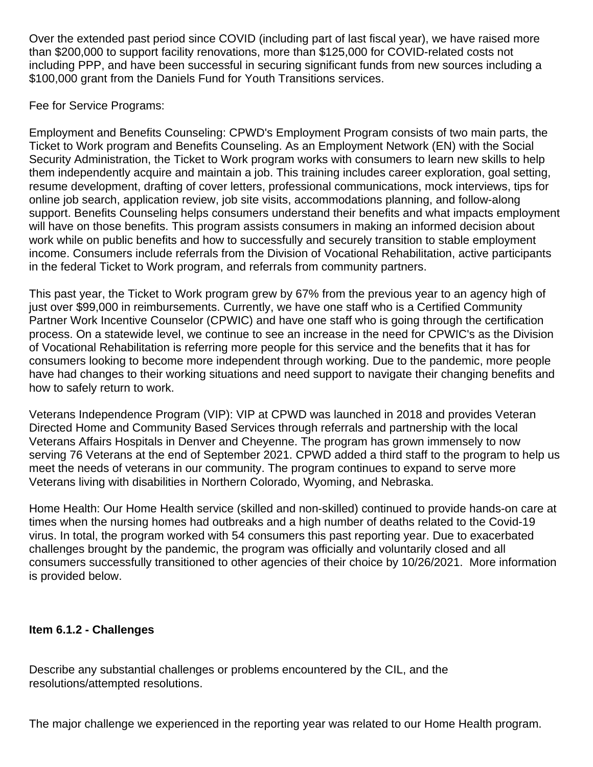Over the extended past period since COVID (including part of last fiscal year), we have raised more than \$200,000 to support facility renovations, more than \$125,000 for COVID-related costs not including PPP, and have been successful in securing significant funds from new sources including a \$100,000 grant from the Daniels Fund for Youth Transitions services.

Fee for Service Programs:

Employment and Benefits Counseling: CPWD's Employment Program consists of two main parts, the Ticket to Work program and Benefits Counseling. As an Employment Network (EN) with the Social Security Administration, the Ticket to Work program works with consumers to learn new skills to help them independently acquire and maintain a job. This training includes career exploration, goal setting, resume development, drafting of cover letters, professional communications, mock interviews, tips for online job search, application review, job site visits, accommodations planning, and follow-along support. Benefits Counseling helps consumers understand their benefits and what impacts employment will have on those benefits. This program assists consumers in making an informed decision about work while on public benefits and how to successfully and securely transition to stable employment income. Consumers include referrals from the Division of Vocational Rehabilitation, active participants in the federal Ticket to Work program, and referrals from community partners.

This past year, the Ticket to Work program grew by 67% from the previous year to an agency high of just over \$99,000 in reimbursements. Currently, we have one staff who is a Certified Community Partner Work Incentive Counselor (CPWIC) and have one staff who is going through the certification process. On a statewide level, we continue to see an increase in the need for CPWIC's as the Division of Vocational Rehabilitation is referring more people for this service and the benefits that it has for consumers looking to become more independent through working. Due to the pandemic, more people have had changes to their working situations and need support to navigate their changing benefits and how to safely return to work.

Veterans Independence Program (VIP): VIP at CPWD was launched in 2018 and provides Veteran Directed Home and Community Based Services through referrals and partnership with the local Veterans Affairs Hospitals in Denver and Cheyenne. The program has grown immensely to now serving 76 Veterans at the end of September 2021. CPWD added a third staff to the program to help us meet the needs of veterans in our community. The program continues to expand to serve more Veterans living with disabilities in Northern Colorado, Wyoming, and Nebraska.

Home Health: Our Home Health service (skilled and non-skilled) continued to provide hands-on care at times when the nursing homes had outbreaks and a high number of deaths related to the Covid-19 virus. In total, the program worked with 54 consumers this past reporting year. Due to exacerbated challenges brought by the pandemic, the program was officially and voluntarily closed and all consumers successfully transitioned to other agencies of their choice by 10/26/2021. More information is provided below.

### **Item 6.1.2 - Challenges**

Describe any substantial challenges or problems encountered by the CIL, and the resolutions/attempted resolutions.

The major challenge we experienced in the reporting year was related to our Home Health program.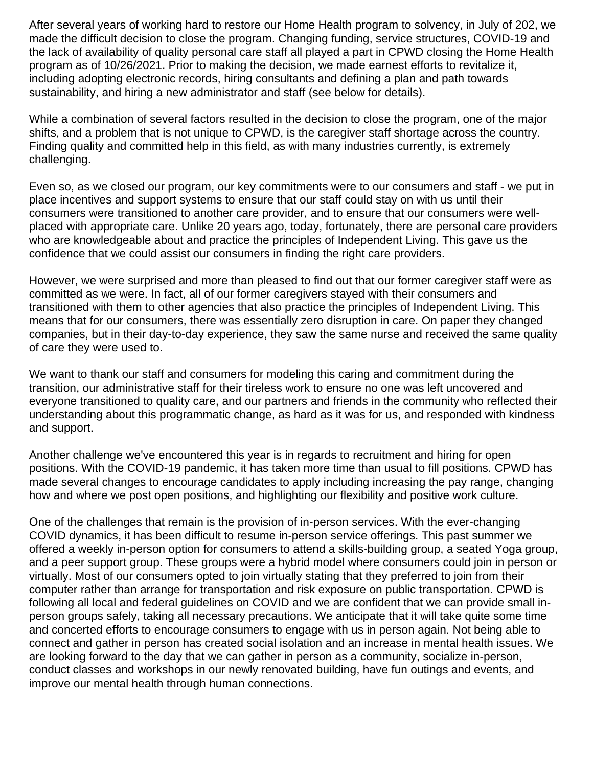After several years of working hard to restore our Home Health program to solvency, in July of 202, we made the difficult decision to close the program. Changing funding, service structures, COVID-19 and the lack of availability of quality personal care staff all played a part in CPWD closing the Home Health program as of 10/26/2021. Prior to making the decision, we made earnest efforts to revitalize it, including adopting electronic records, hiring consultants and defining a plan and path towards sustainability, and hiring a new administrator and staff (see below for details).

While a combination of several factors resulted in the decision to close the program, one of the major shifts, and a problem that is not unique to CPWD, is the caregiver staff shortage across the country. Finding quality and committed help in this field, as with many industries currently, is extremely challenging.

Even so, as we closed our program, our key commitments were to our consumers and staff - we put in place incentives and support systems to ensure that our staff could stay on with us until their consumers were transitioned to another care provider, and to ensure that our consumers were wellplaced with appropriate care. Unlike 20 years ago, today, fortunately, there are personal care providers who are knowledgeable about and practice the principles of Independent Living. This gave us the confidence that we could assist our consumers in finding the right care providers.

However, we were surprised and more than pleased to find out that our former caregiver staff were as committed as we were. In fact, all of our former caregivers stayed with their consumers and transitioned with them to other agencies that also practice the principles of Independent Living. This means that for our consumers, there was essentially zero disruption in care. On paper they changed companies, but in their day-to-day experience, they saw the same nurse and received the same quality of care they were used to.

We want to thank our staff and consumers for modeling this caring and commitment during the transition, our administrative staff for their tireless work to ensure no one was left uncovered and everyone transitioned to quality care, and our partners and friends in the community who reflected their understanding about this programmatic change, as hard as it was for us, and responded with kindness and support.

Another challenge we've encountered this year is in regards to recruitment and hiring for open positions. With the COVID-19 pandemic, it has taken more time than usual to fill positions. CPWD has made several changes to encourage candidates to apply including increasing the pay range, changing how and where we post open positions, and highlighting our flexibility and positive work culture.

One of the challenges that remain is the provision of in-person services. With the ever-changing COVID dynamics, it has been difficult to resume in-person service offerings. This past summer we offered a weekly in-person option for consumers to attend a skills-building group, a seated Yoga group, and a peer support group. These groups were a hybrid model where consumers could join in person or virtually. Most of our consumers opted to join virtually stating that they preferred to join from their computer rather than arrange for transportation and risk exposure on public transportation. CPWD is following all local and federal guidelines on COVID and we are confident that we can provide small inperson groups safely, taking all necessary precautions. We anticipate that it will take quite some time and concerted efforts to encourage consumers to engage with us in person again. Not being able to connect and gather in person has created social isolation and an increase in mental health issues. We are looking forward to the day that we can gather in person as a community, socialize in-person, conduct classes and workshops in our newly renovated building, have fun outings and events, and improve our mental health through human connections.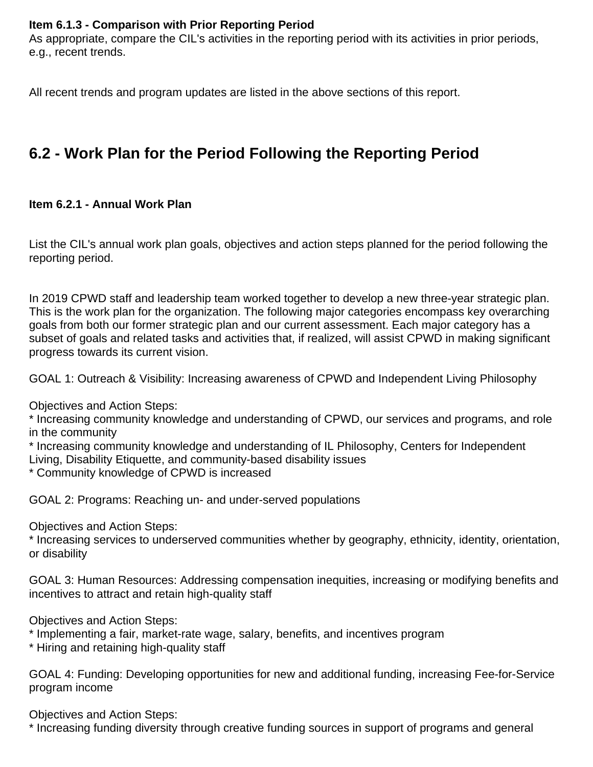#### **Item 6.1.3 - Comparison with Prior Reporting Period**

As appropriate, compare the CIL's activities in the reporting period with its activities in prior periods, e.g., recent trends.

All recent trends and program updates are listed in the above sections of this report.

## **6.2 - Work Plan for the Period Following the Reporting Period**

#### **Item 6.2.1 - Annual Work Plan**

List the CIL's annual work plan goals, objectives and action steps planned for the period following the reporting period.

In 2019 CPWD staff and leadership team worked together to develop a new three-year strategic plan. This is the work plan for the organization. The following major categories encompass key overarching goals from both our former strategic plan and our current assessment. Each major category has a subset of goals and related tasks and activities that, if realized, will assist CPWD in making significant progress towards its current vision.

GOAL 1: Outreach & Visibility: Increasing awareness of CPWD and Independent Living Philosophy

Objectives and Action Steps:

\* Increasing community knowledge and understanding of CPWD, our services and programs, and role in the community

\* Increasing community knowledge and understanding of IL Philosophy, Centers for Independent Living, Disability Etiquette, and community-based disability issues

\* Community knowledge of CPWD is increased

GOAL 2: Programs: Reaching un- and under-served populations

Objectives and Action Steps:

\* Increasing services to underserved communities whether by geography, ethnicity, identity, orientation, or disability

GOAL 3: Human Resources: Addressing compensation inequities, increasing or modifying benefits and incentives to attract and retain high-quality staff

Objectives and Action Steps:

- \* Implementing a fair, market-rate wage, salary, benefits, and incentives program
- \* Hiring and retaining high-quality staff

GOAL 4: Funding: Developing opportunities for new and additional funding, increasing Fee-for-Service program income

Objectives and Action Steps:

\* Increasing funding diversity through creative funding sources in support of programs and general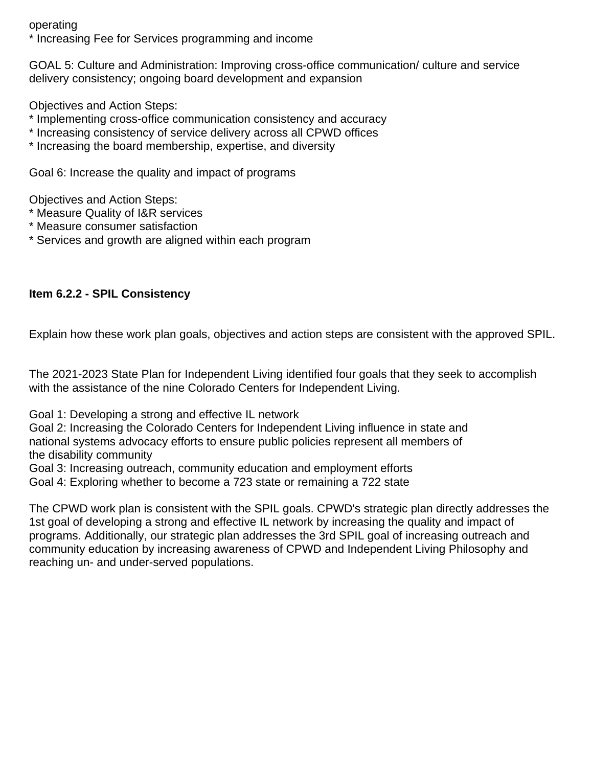operating

\* Increasing Fee for Services programming and income

GOAL 5: Culture and Administration: Improving cross-office communication/ culture and service delivery consistency; ongoing board development and expansion

Objectives and Action Steps:

- \* Implementing cross-office communication consistency and accuracy
- \* Increasing consistency of service delivery across all CPWD offices
- \* Increasing the board membership, expertise, and diversity

Goal 6: Increase the quality and impact of programs

Objectives and Action Steps:

- \* Measure Quality of I&R services
- \* Measure consumer satisfaction
- \* Services and growth are aligned within each program

### **Item 6.2.2 - SPIL Consistency**

Explain how these work plan goals, objectives and action steps are consistent with the approved SPIL.

The 2021-2023 State Plan for Independent Living identified four goals that they seek to accomplish with the assistance of the nine Colorado Centers for Independent Living.

Goal 1: Developing a strong and effective IL network

Goal 2: Increasing the Colorado Centers for Independent Living influence in state and national systems advocacy efforts to ensure public policies represent all members of the disability community

Goal 3: Increasing outreach, community education and employment efforts

Goal 4: Exploring whether to become a 723 state or remaining a 722 state

The CPWD work plan is consistent with the SPIL goals. CPWD's strategic plan directly addresses the 1st goal of developing a strong and effective IL network by increasing the quality and impact of programs. Additionally, our strategic plan addresses the 3rd SPIL goal of increasing outreach and community education by increasing awareness of CPWD and Independent Living Philosophy and reaching un- and under-served populations.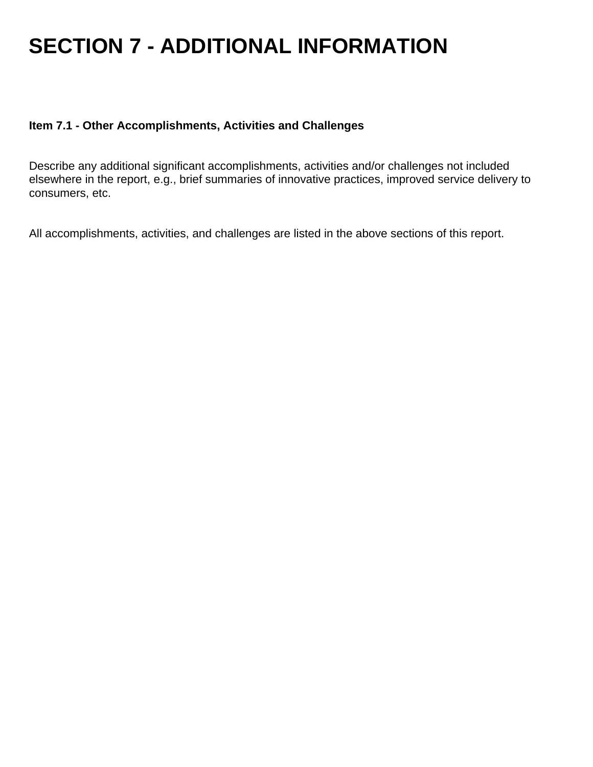## **SECTION 7 - ADDITIONAL INFORMATION**

#### **Item 7.1 - Other Accomplishments, Activities and Challenges**

Describe any additional significant accomplishments, activities and/or challenges not included elsewhere in the report, e.g., brief summaries of innovative practices, improved service delivery to consumers, etc.

All accomplishments, activities, and challenges are listed in the above sections of this report.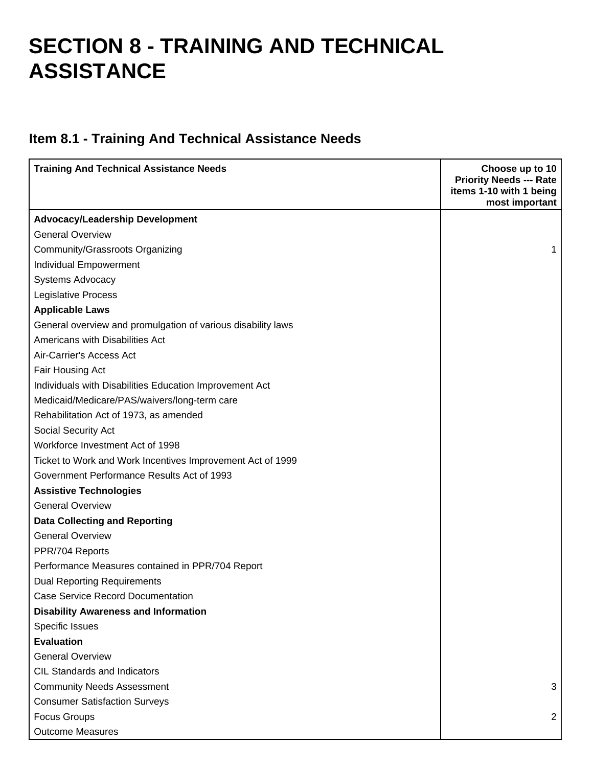## **SECTION 8 - TRAINING AND TECHNICAL ASSISTANCE**

## **Item 8.1 - Training And Technical Assistance Needs**

| <b>Training And Technical Assistance Needs</b>               | Choose up to 10<br><b>Priority Needs --- Rate</b><br>items 1-10 with 1 being<br>most important |
|--------------------------------------------------------------|------------------------------------------------------------------------------------------------|
| <b>Advocacy/Leadership Development</b>                       |                                                                                                |
| <b>General Overview</b>                                      |                                                                                                |
| Community/Grassroots Organizing                              | 1                                                                                              |
| Individual Empowerment                                       |                                                                                                |
| <b>Systems Advocacy</b>                                      |                                                                                                |
| <b>Legislative Process</b>                                   |                                                                                                |
| <b>Applicable Laws</b>                                       |                                                                                                |
| General overview and promulgation of various disability laws |                                                                                                |
| Americans with Disabilities Act                              |                                                                                                |
| Air-Carrier's Access Act                                     |                                                                                                |
| Fair Housing Act                                             |                                                                                                |
| Individuals with Disabilities Education Improvement Act      |                                                                                                |
| Medicaid/Medicare/PAS/waivers/long-term care                 |                                                                                                |
| Rehabilitation Act of 1973, as amended                       |                                                                                                |
| Social Security Act                                          |                                                                                                |
| Workforce Investment Act of 1998                             |                                                                                                |
| Ticket to Work and Work Incentives Improvement Act of 1999   |                                                                                                |
| Government Performance Results Act of 1993                   |                                                                                                |
| <b>Assistive Technologies</b>                                |                                                                                                |
| <b>General Overview</b>                                      |                                                                                                |
| <b>Data Collecting and Reporting</b>                         |                                                                                                |
| <b>General Overview</b>                                      |                                                                                                |
| PPR/704 Reports                                              |                                                                                                |
| Performance Measures contained in PPR/704 Report             |                                                                                                |
| <b>Dual Reporting Requirements</b>                           |                                                                                                |
| <b>Case Service Record Documentation</b>                     |                                                                                                |
| <b>Disability Awareness and Information</b>                  |                                                                                                |
| Specific Issues                                              |                                                                                                |
| <b>Evaluation</b>                                            |                                                                                                |
| <b>General Overview</b>                                      |                                                                                                |
| CIL Standards and Indicators                                 |                                                                                                |
| <b>Community Needs Assessment</b>                            | 3                                                                                              |
| <b>Consumer Satisfaction Surveys</b>                         |                                                                                                |
| <b>Focus Groups</b>                                          | $\overline{2}$                                                                                 |
| <b>Outcome Measures</b>                                      |                                                                                                |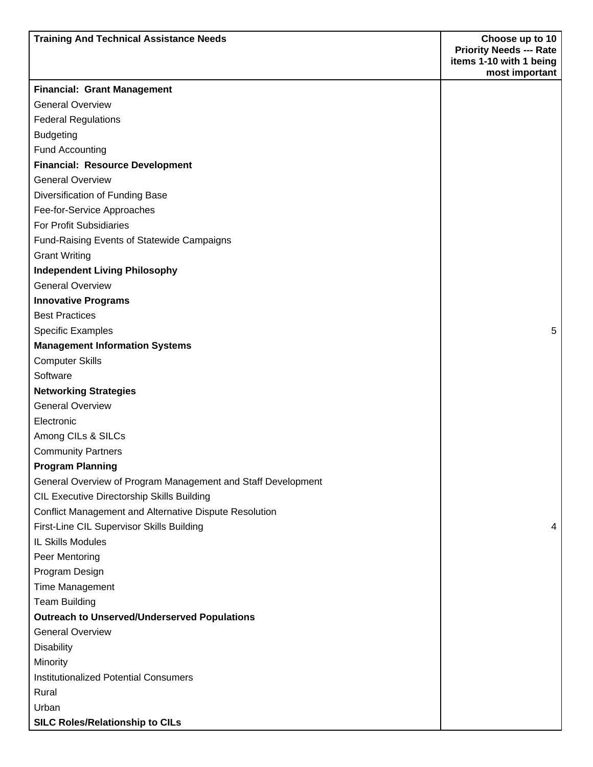| <b>Training And Technical Assistance Needs</b>                    | Choose up to 10                           |
|-------------------------------------------------------------------|-------------------------------------------|
|                                                                   | <b>Priority Needs --- Rate</b>            |
|                                                                   | items 1-10 with 1 being<br>most important |
| <b>Financial: Grant Management</b>                                |                                           |
| <b>General Overview</b>                                           |                                           |
| <b>Federal Regulations</b>                                        |                                           |
|                                                                   |                                           |
| <b>Budgeting</b>                                                  |                                           |
| <b>Fund Accounting</b>                                            |                                           |
| <b>Financial: Resource Development</b><br><b>General Overview</b> |                                           |
|                                                                   |                                           |
| Diversification of Funding Base                                   |                                           |
| Fee-for-Service Approaches                                        |                                           |
| For Profit Subsidiaries                                           |                                           |
| <b>Fund-Raising Events of Statewide Campaigns</b>                 |                                           |
| <b>Grant Writing</b>                                              |                                           |
| <b>Independent Living Philosophy</b>                              |                                           |
| <b>General Overview</b>                                           |                                           |
| <b>Innovative Programs</b>                                        |                                           |
| <b>Best Practices</b>                                             |                                           |
| <b>Specific Examples</b>                                          | 5                                         |
| <b>Management Information Systems</b>                             |                                           |
| <b>Computer Skills</b>                                            |                                           |
| Software                                                          |                                           |
| <b>Networking Strategies</b>                                      |                                           |
| <b>General Overview</b>                                           |                                           |
| Electronic                                                        |                                           |
| Among CILs & SILCs                                                |                                           |
| <b>Community Partners</b>                                         |                                           |
| <b>Program Planning</b>                                           |                                           |
| General Overview of Program Management and Staff Development      |                                           |
| <b>CIL Executive Directorship Skills Building</b>                 |                                           |
| Conflict Management and Alternative Dispute Resolution            |                                           |
| First-Line CIL Supervisor Skills Building                         | 4                                         |
| <b>IL Skills Modules</b>                                          |                                           |
| Peer Mentoring                                                    |                                           |
| Program Design                                                    |                                           |
| <b>Time Management</b>                                            |                                           |
| <b>Team Building</b>                                              |                                           |
| <b>Outreach to Unserved/Underserved Populations</b>               |                                           |
| <b>General Overview</b>                                           |                                           |
| <b>Disability</b>                                                 |                                           |
| Minority                                                          |                                           |
| <b>Institutionalized Potential Consumers</b>                      |                                           |
| Rural                                                             |                                           |
| Urban                                                             |                                           |
| <b>SILC Roles/Relationship to CILs</b>                            |                                           |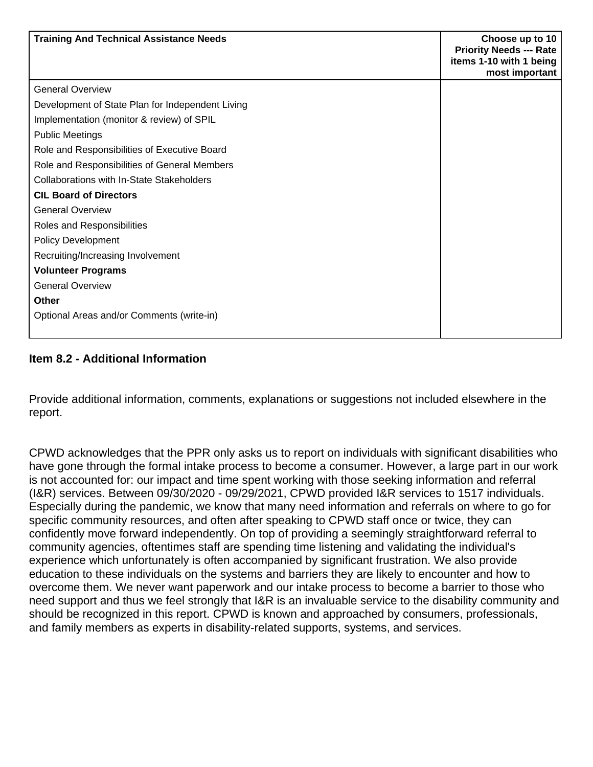| <b>Training And Technical Assistance Needs</b>   | Choose up to 10<br><b>Priority Needs --- Rate</b><br>items 1-10 with 1 being<br>most important |
|--------------------------------------------------|------------------------------------------------------------------------------------------------|
| <b>General Overview</b>                          |                                                                                                |
| Development of State Plan for Independent Living |                                                                                                |
| Implementation (monitor & review) of SPIL        |                                                                                                |
| <b>Public Meetings</b>                           |                                                                                                |
| Role and Responsibilities of Executive Board     |                                                                                                |
| Role and Responsibilities of General Members     |                                                                                                |
| Collaborations with In-State Stakeholders        |                                                                                                |
| <b>CIL Board of Directors</b>                    |                                                                                                |
| <b>General Overview</b>                          |                                                                                                |
| Roles and Responsibilities                       |                                                                                                |
| <b>Policy Development</b>                        |                                                                                                |
| Recruiting/Increasing Involvement                |                                                                                                |
| <b>Volunteer Programs</b>                        |                                                                                                |
| <b>General Overview</b>                          |                                                                                                |
| <b>Other</b>                                     |                                                                                                |
| Optional Areas and/or Comments (write-in)        |                                                                                                |

### **Item 8.2 - Additional Information**

Provide additional information, comments, explanations or suggestions not included elsewhere in the report.

CPWD acknowledges that the PPR only asks us to report on individuals with significant disabilities who have gone through the formal intake process to become a consumer. However, a large part in our work is not accounted for: our impact and time spent working with those seeking information and referral (I&R) services. Between 09/30/2020 - 09/29/2021, CPWD provided I&R services to 1517 individuals. Especially during the pandemic, we know that many need information and referrals on where to go for specific community resources, and often after speaking to CPWD staff once or twice, they can confidently move forward independently. On top of providing a seemingly straightforward referral to community agencies, oftentimes staff are spending time listening and validating the individual's experience which unfortunately is often accompanied by significant frustration. We also provide education to these individuals on the systems and barriers they are likely to encounter and how to overcome them. We never want paperwork and our intake process to become a barrier to those who need support and thus we feel strongly that I&R is an invaluable service to the disability community and should be recognized in this report. CPWD is known and approached by consumers, professionals, and family members as experts in disability-related supports, systems, and services.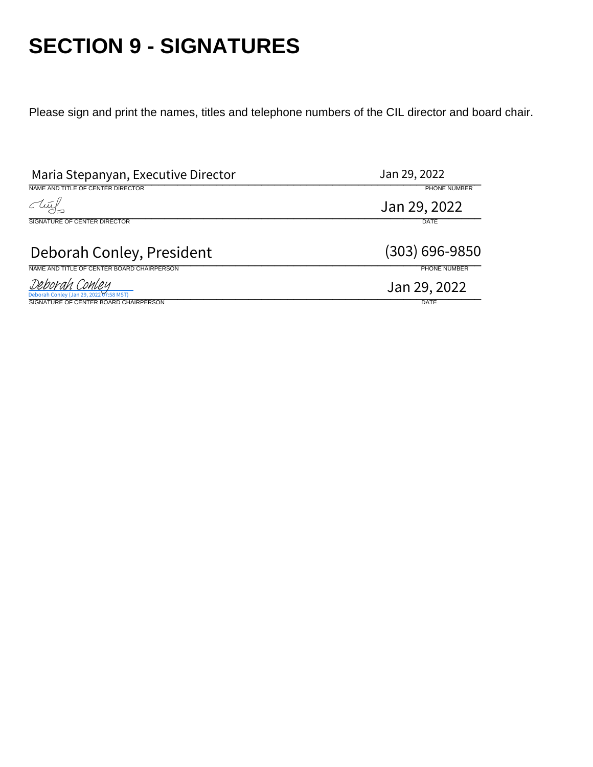## **SECTION 9 - SIGNATURES**

Please sign and print the names, titles and telephone numbers of the CIL director and board chair.

| Maria Stepanyan, Executive Director                                                                       | Jan 29, 2022                |
|-----------------------------------------------------------------------------------------------------------|-----------------------------|
| NAME AND TITLE OF CENTER DIRECTOR                                                                         | PHONE NUMBER                |
| clu                                                                                                       | Jan 29, 2022                |
| SIGNATURE OF CENTER DIRECTOR                                                                              | <b>DATE</b>                 |
| Deborah Conley, President                                                                                 | $(303) 696 - 9850$          |
| NAME AND TITLE OF CENTER BOARD CHAIRPERSON                                                                | PHONE NUMBER                |
| <u>Deborah Conley</u><br>Deborah Conley (Jan 29, 2022 07:58 MST)<br>SIGNATURE OF CENTER BOARD CHAIRPERSON | Jan 29, 2022<br><b>DATE</b> |
|                                                                                                           |                             |